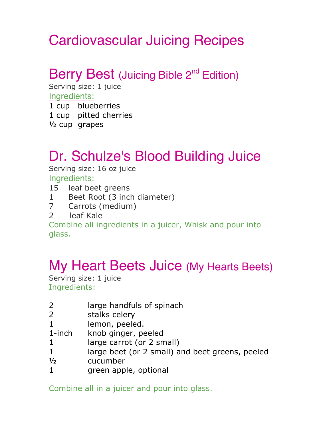# Cardiovascular Juicing Recipes

#### Berry Best (Juicing Bible 2<sup>nd</sup> Edition)

Serving size: 1 juice Ingredients:

1 cup blueberries 1 cup pitted cherries

½ cup grapes

### Dr. Schulze's Blood Building Juice

Serving size: 16 oz juice

Ingredients:

- 15 leaf beet greens
- 1 Beet Root (3 inch diameter)
- 7 Carrots (medium)
- 2 leaf Kale

Combine all ingredients in a juicer, Whisk and pour into glass.

#### My Heart Beets Juice (My Hearts Beets)

Serving size: 1 juice Ingredients:

- 2 large handfuls of spinach
- 2 stalks celery
- 

1 lemon, peeled.<br>1-inch knob ginger, pe knob ginger, peeled

- 1 large carrot (or 2 small)
- 1 large beet (or 2 small) and beet greens, peeled
- ½ cucumber
- 1 green apple, optional

Combine all in a juicer and pour into glass.